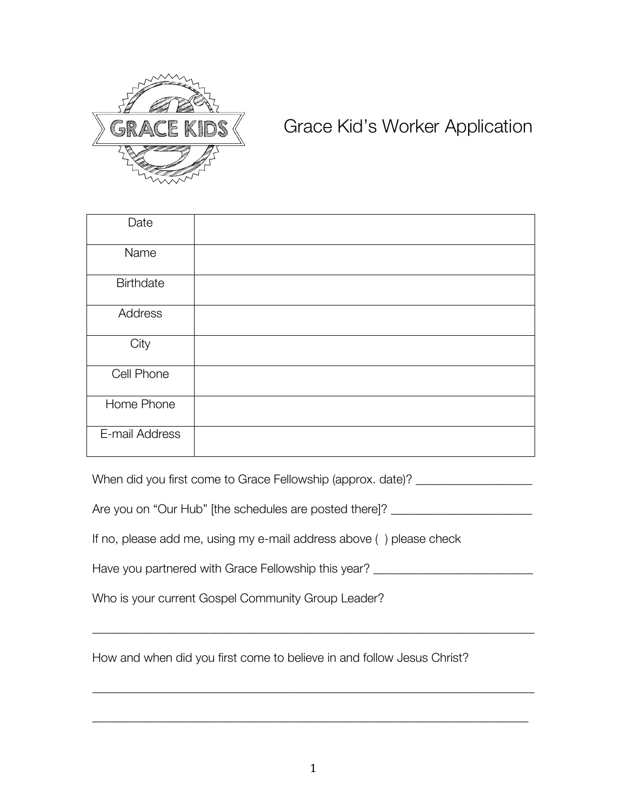

## Grace Kid's Worker Application

| Date             |  |
|------------------|--|
| Name             |  |
| <b>Birthdate</b> |  |
| Address          |  |
| City             |  |
| Cell Phone       |  |
| Home Phone       |  |
| E-mail Address   |  |

When did you first come to Grace Fellowship (approx. date)?

Are you on "Our Hub" [the schedules are posted there]? \_\_\_\_\_\_\_\_\_\_\_\_\_\_\_\_\_\_\_\_\_\_\_\_\_

If no, please add me, using my e-mail address above ( ) please check

| Have you partnered with Grace Fellowship this year? |
|-----------------------------------------------------|
|-----------------------------------------------------|

\_\_\_\_\_\_\_\_\_\_\_\_\_\_\_\_\_\_\_\_\_\_\_\_\_\_\_\_\_\_\_\_\_\_\_\_\_\_\_\_\_\_\_\_\_\_\_\_\_\_\_\_\_\_\_\_\_\_\_\_\_\_\_\_\_\_\_\_\_\_\_\_

\_\_\_\_\_\_\_\_\_\_\_\_\_\_\_\_\_\_\_\_\_\_\_\_\_\_\_\_\_\_\_\_\_\_\_\_\_\_\_\_\_\_\_\_\_\_\_\_\_\_\_\_\_\_\_\_\_\_\_\_\_\_\_\_\_\_\_\_\_\_\_\_

\_\_\_\_\_\_\_\_\_\_\_\_\_\_\_\_\_\_\_\_\_\_\_\_\_\_\_\_\_\_\_\_\_\_\_\_\_\_\_\_\_\_\_\_\_\_\_\_\_\_\_\_\_\_\_\_\_\_\_\_\_\_\_\_\_\_\_\_\_\_\_

Who is your current Gospel Community Group Leader?

How and when did you first come to believe in and follow Jesus Christ?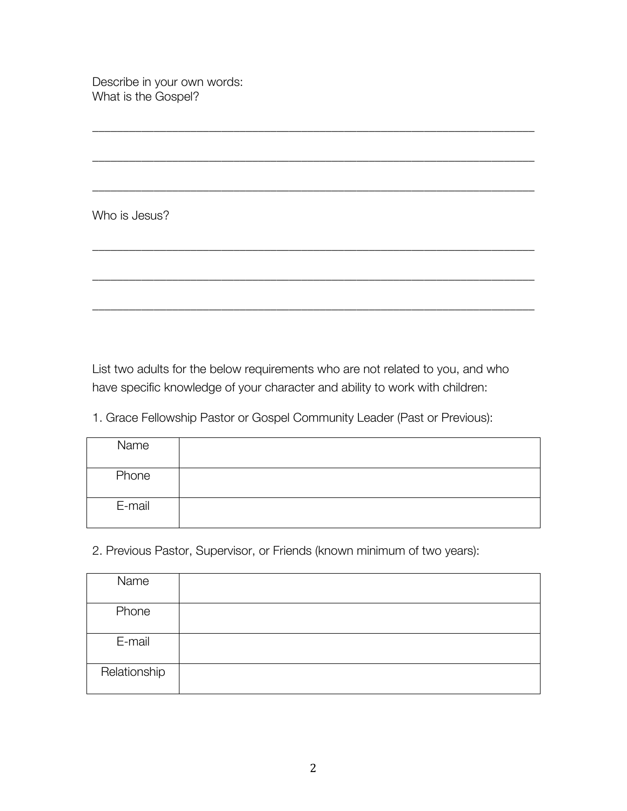Describe in your own words: What is the Gospel?

Who is Jesus?

List two adults for the below requirements who are not related to you, and who have specific knowledge of your character and ability to work with children:

\_\_\_\_\_\_\_\_\_\_\_\_\_\_\_\_\_\_\_\_\_\_\_\_\_\_\_\_\_\_\_\_\_\_\_\_\_\_\_\_\_\_\_\_\_\_\_\_\_\_\_\_\_\_\_\_\_\_\_\_\_\_\_\_\_\_\_\_\_\_\_\_

\_\_\_\_\_\_\_\_\_\_\_\_\_\_\_\_\_\_\_\_\_\_\_\_\_\_\_\_\_\_\_\_\_\_\_\_\_\_\_\_\_\_\_\_\_\_\_\_\_\_\_\_\_\_\_\_\_\_\_\_\_\_\_\_\_\_\_\_\_\_\_\_

\_\_\_\_\_\_\_\_\_\_\_\_\_\_\_\_\_\_\_\_\_\_\_\_\_\_\_\_\_\_\_\_\_\_\_\_\_\_\_\_\_\_\_\_\_\_\_\_\_\_\_\_\_\_\_\_\_\_\_\_\_\_\_\_\_\_\_\_\_\_\_\_

\_\_\_\_\_\_\_\_\_\_\_\_\_\_\_\_\_\_\_\_\_\_\_\_\_\_\_\_\_\_\_\_\_\_\_\_\_\_\_\_\_\_\_\_\_\_\_\_\_\_\_\_\_\_\_\_\_\_\_\_\_\_\_\_\_\_\_\_\_\_\_\_

\_\_\_\_\_\_\_\_\_\_\_\_\_\_\_\_\_\_\_\_\_\_\_\_\_\_\_\_\_\_\_\_\_\_\_\_\_\_\_\_\_\_\_\_\_\_\_\_\_\_\_\_\_\_\_\_\_\_\_\_\_\_\_\_\_\_\_\_\_\_\_\_

\_\_\_\_\_\_\_\_\_\_\_\_\_\_\_\_\_\_\_\_\_\_\_\_\_\_\_\_\_\_\_\_\_\_\_\_\_\_\_\_\_\_\_\_\_\_\_\_\_\_\_\_\_\_\_\_\_\_\_\_\_\_\_\_\_\_\_\_\_\_\_\_

1. Grace Fellowship Pastor or Gospel Community Leader (Past or Previous):

| Name   |  |
|--------|--|
| Phone  |  |
| E-mail |  |

2. Previous Pastor, Supervisor, or Friends (known minimum of two years):

| Name         |  |
|--------------|--|
| Phone        |  |
| E-mail       |  |
| Relationship |  |